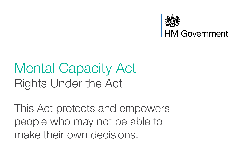

### Mental Capacity Act Rights Under the Act

This Act protects and empowers people who may not be able to make their own decisions.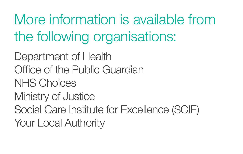More information is available from the following organisations:

Department of Health Office of the Public Guardian NHS Choices Ministry of Justice Social Care Institute for Excellence (SCIE) Your Local Authority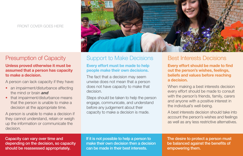#### FRONT COVER GOES HERE



## Presumption of Capacity

### Unless proved otherwise it must be assumed that a person has capacity to make a decision.

A person can lack capacity if they have:

- an impairment/disturbance affecting the mind or brain *and*
- that impairment/disturbance means that the person is unable to make a decision at the appropriate time.

A person is unable to make a decision if they cannot understand, retain or weigh up the information or communicate the decision.

# Support to Make Decisions

#### Every effort must be made to help people make their own decisions.

The fact that a decision may seem unwise does not mean that a person does not have capacity to make that decision.

Steps should be taken to help the person engage, communicate, and understand before any judgement about their capacity to make a decision is made.

### Best Interests Decisions

Every effort should be made to find out the person's wishes, feelings, beliefs and values before reaching a decision.

When making a best interests decision every effort should be made to consult with the person's friends, family, carers and anyone with a positive interest in the individual's well-being.

A best interests decision should take into account the person's wishes and feelings as well as any less restrictive alternatives.

Capacity can vary over time and depending on the decision, so capacity should be reassessed appropriately.

If it is not possible to help a person to make their own decision then a decision can be made in their best interests.

The desire to protect a person must be balanced against the benefits of empowering them.